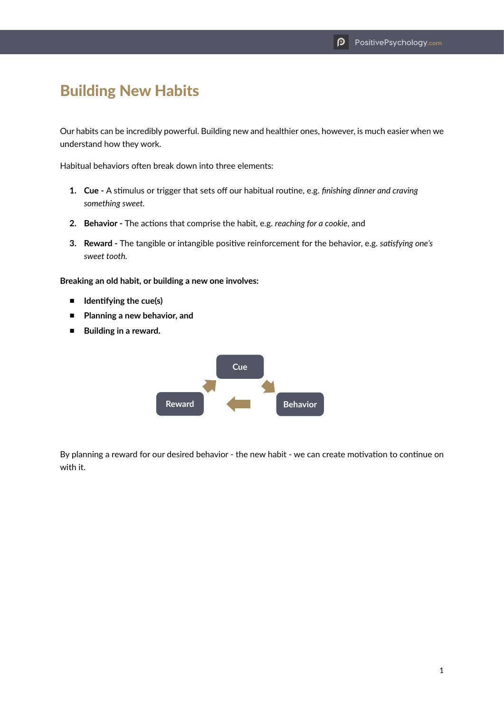## Building New Habits

Our habits can be incredibly powerful. Building new and healthier ones, however, is much easier when we understand how they work.

Habitual behaviors often break down into three elements:

- **1. Cue** A stimulus or trigger that sets off our habitual routine, e.g. *finishing dinner and craving something sweet.*
- **2. Behavior** The actions that comprise the habit, e.g. *reaching for a cookie*, and
- **3. Reward** The tangible or intangible positive reinforcement for the behavior, e.g. *satisfying one's sweet tooth.*

**Breaking an old habit, or building a new one involves:**

- **Identifying the cue(s)**
- **Planning a new behavior, and**
- **Building in a reward.**



By planning a reward for our desired behavior - the new habit - we can create motivation to continue on with it.